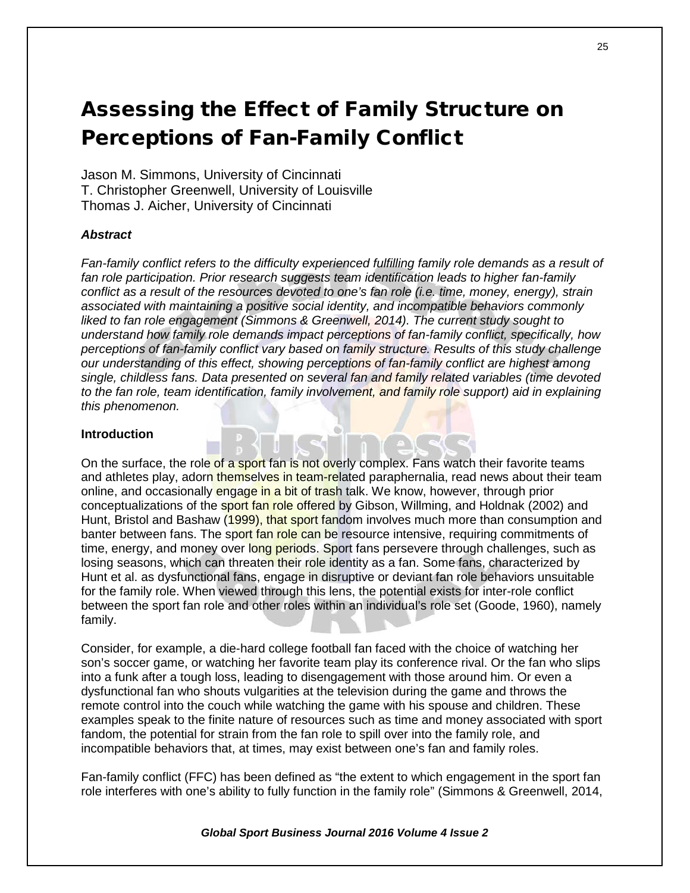# Assessing the Effect of Family Structure on Perceptions of Fan-Family Conflict

Jason M. Simmons, University of Cincinnati T. Christopher Greenwell, University of Louisville Thomas J. Aicher, University of Cincinnati

## *Abstract*

*Fan-family conflict refers to the difficulty experienced fulfilling family role demands as a result of fan role participation. Prior research suggests team identification leads to higher fan-family conflict as a result of the resources devoted to one's fan role (i.e. time, money, energy), strain associated with maintaining a positive social identity, and incompatible behaviors commonly liked to fan role engagement (Simmons & Greenwell, 2014). The current study sought to understand how family role demands impact perceptions of fan-family conflict, specifically, how perceptions of fan-family conflict vary based on family structure. Results of this study challenge our understanding of this effect, showing perceptions of fan-family conflict are highest among single, childless fans. Data presented on several fan and family related variables (time devoted to the fan role, team identification, family involvement, and family role support) aid in explaining this phenomenon.* 

## **Introduction**

On the surface, the role of a sport fan is not overly complex. Fans watch their favorite teams and athletes play, adorn themselves in team-related paraphernalia, read news about their team online, and occasionally engage in a bit of trash talk. We know, however, through prior conceptualizations of the sport fan role offered by Gibson, Willming, and Holdnak (2002) and Hunt, Bristol and Bashaw (1999), that sport fandom involves much more than consumption and banter between fans. The sport fan role can be resource intensive, requiring commitments of time, energy, and money over long periods. Sport fans persevere through challenges, such as losing seasons, which can threaten their role identity as a fan. Some fans, characterized by Hunt et al. as dysfunctional fans, engage in disruptive or deviant fan role behaviors unsuitable for the family role. When viewed through this lens, the potential exists for inter-role conflict between the sport fan role and other roles within an individual's role set (Goode, 1960), namely family.

Consider, for example, a die-hard college football fan faced with the choice of watching her son's soccer game, or watching her favorite team play its conference rival. Or the fan who slips into a funk after a tough loss, leading to disengagement with those around him. Or even a dysfunctional fan who shouts vulgarities at the television during the game and throws the remote control into the couch while watching the game with his spouse and children. These examples speak to the finite nature of resources such as time and money associated with sport fandom, the potential for strain from the fan role to spill over into the family role, and incompatible behaviors that, at times, may exist between one's fan and family roles.

Fan-family conflict (FFC) has been defined as "the extent to which engagement in the sport fan role interferes with one's ability to fully function in the family role" (Simmons & Greenwell, 2014,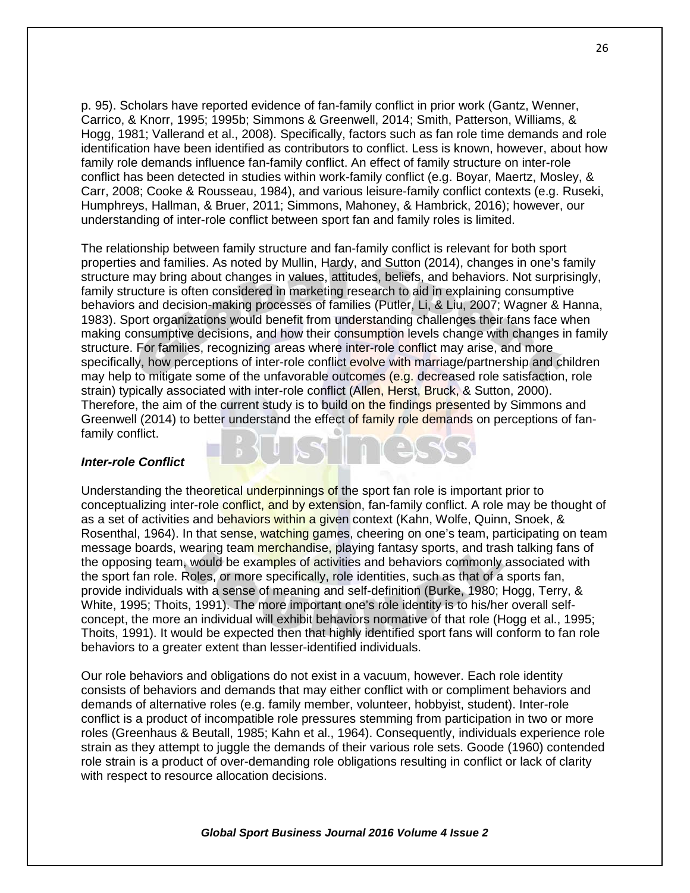p. 95). Scholars have reported evidence of fan-family conflict in prior work (Gantz, Wenner, Carrico, & Knorr, 1995; 1995b; Simmons & Greenwell, 2014; Smith, Patterson, Williams, & Hogg, 1981; Vallerand et al., 2008). Specifically, factors such as fan role time demands and role identification have been identified as contributors to conflict. Less is known, however, about how family role demands influence fan-family conflict. An effect of family structure on inter-role conflict has been detected in studies within work-family conflict (e.g. Boyar, Maertz, Mosley, & Carr, 2008; Cooke & Rousseau, 1984), and various leisure-family conflict contexts (e.g. Ruseki, Humphreys, Hallman, & Bruer, 2011; Simmons, Mahoney, & Hambrick, 2016); however, our understanding of inter-role conflict between sport fan and family roles is limited.

The relationship between family structure and fan-family conflict is relevant for both sport properties and families. As noted by Mullin, Hardy, and Sutton (2014), changes in one's family structure may bring about changes in values, attitudes, beliefs, and behaviors. Not surprisingly, family structure is often considered in marketing research to aid in explaining consumptive behaviors and decision-making processes of families (Putler, Li, & Liu, 2007; Wagner & Hanna, 1983). Sport organizations would benefit from understanding challenges their fans face when making consumptive decisions, and how their consumption levels change with changes in family structure. For families, recognizing areas where inter-role conflict may arise, and more specifically, how perceptions of inter-role conflict evolve with marriage/partnership and children may help to mitigate some of the unfavorable outcomes (e.g. decreased role satisfaction, role strain) typically associated with inter-role conflict (Allen, Herst, Bruck, & Sutton, 2000). Therefore, the aim of the current study is to build on the findings presented by Simmons and Greenwell (2014) to better understand the effect of family role demands on perceptions of fanfamily conflict.

### *Inter-role Conflict*

Understanding the theoretical underpinnings of the sport fan role is important prior to conceptualizing inter-role conflict, and by extension, fan-family conflict. A role may be thought of as a set of activities and behaviors within a given context (Kahn, Wolfe, Quinn, Snoek, & Rosenthal, 1964). In that sense, watching games, cheering on one's team, participating on team message boards, wearing team merchandise, playing fantasy sports, and trash talking fans of the opposing team, would be examples of activities and behaviors commonly associated with the sport fan role. Roles, or more specifically, role identities, such as that of a sports fan, provide individuals with a sense of meaning and self-definition (Burke, 1980; Hogg, Terry, & White, 1995; Thoits, 1991). The more important one's role identity is to his/her overall selfconcept, the more an individual will exhibit behaviors normative of that role (Hogg et al., 1995; Thoits, 1991). It would be expected then that highly identified sport fans will conform to fan role behaviors to a greater extent than lesser-identified individuals.

Our role behaviors and obligations do not exist in a vacuum, however. Each role identity consists of behaviors and demands that may either conflict with or compliment behaviors and demands of alternative roles (e.g. family member, volunteer, hobbyist, student). Inter-role conflict is a product of incompatible role pressures stemming from participation in two or more roles (Greenhaus & Beutall, 1985; Kahn et al., 1964). Consequently, individuals experience role strain as they attempt to juggle the demands of their various role sets. Goode (1960) contended role strain is a product of over-demanding role obligations resulting in conflict or lack of clarity with respect to resource allocation decisions.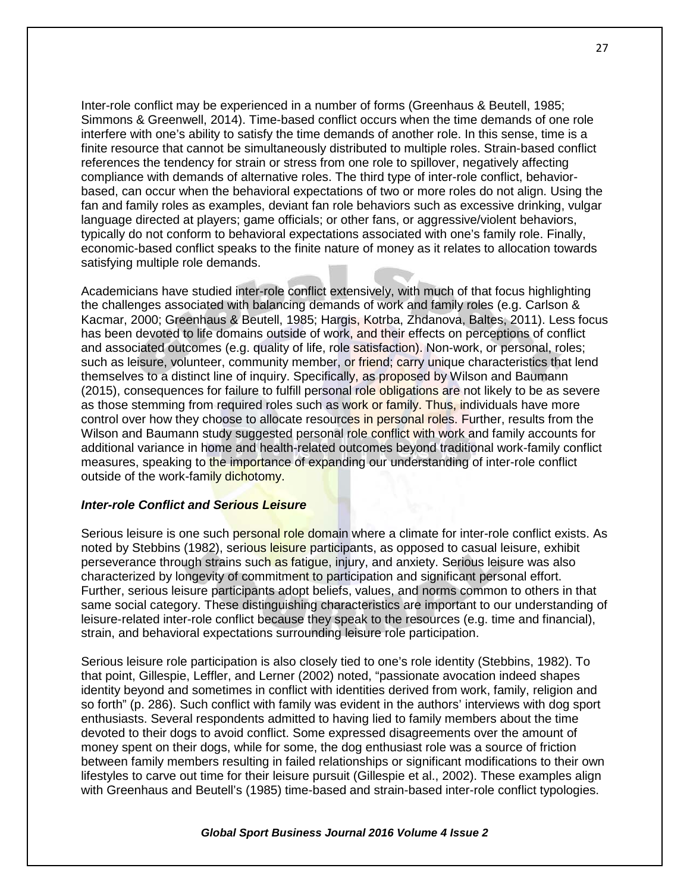Inter-role conflict may be experienced in a number of forms (Greenhaus & Beutell, 1985; Simmons & Greenwell, 2014). Time-based conflict occurs when the time demands of one role interfere with one's ability to satisfy the time demands of another role. In this sense, time is a finite resource that cannot be simultaneously distributed to multiple roles. Strain-based conflict references the tendency for strain or stress from one role to spillover, negatively affecting compliance with demands of alternative roles. The third type of inter-role conflict, behaviorbased, can occur when the behavioral expectations of two or more roles do not align. Using the fan and family roles as examples, deviant fan role behaviors such as excessive drinking, vulgar language directed at players; game officials; or other fans, or aggressive/violent behaviors, typically do not conform to behavioral expectations associated with one's family role. Finally, economic-based conflict speaks to the finite nature of money as it relates to allocation towards satisfying multiple role demands.

Academicians have studied inter-role conflict extensively, with much of that focus highlighting the challenges associated with balancing demands of work and family roles (e.g. Carlson & Kacmar, 2000; Greenhaus & Beutell, 1985; Hargis, Kotrba, Zhdanova, Baltes, 2011). Less focus has been devoted to life domains outside of work, and their effects on perceptions of conflict and associated outcomes (e.g. quality of life, role satisfaction). Non-work, or personal, roles; such as leisure, volunteer, community member, or friend; carry unique characteristics that lend themselves to a distinct line of inquiry. Specifically, as proposed by Wilson and Baumann (2015), consequences for failure to fulfill personal role obligations are not likely to be as severe as those stemming from required roles such as work or family. Thus, individuals have more control over how they choose to allocate resources in personal roles. Further, results from the Wilson and Baumann study suggested personal role conflict with work and family accounts for additional variance in home and health-related outcomes beyond traditional work-family conflict measures, speaking to the importance of expanding our understanding of inter-role conflict outside of the work-family dichotomy.

## *Inter-role Conflict and Serious Leisure*

Serious leisure is one such personal role domain where a climate for inter-role conflict exists. As noted by Stebbins (1982), serious leisure participants, as opposed to casual leisure, exhibit perseverance through strains such as fatigue, injury, and anxiety. Serious leisure was also characterized by longevity of commitment to participation and significant personal effort. Further, serious leisure participants adopt beliefs, values, and norms common to others in that same social category. These distinguishing characteristics are important to our understanding of leisure-related inter-role conflict because they speak to the resources (e.g. time and financial), strain, and behavioral expectations surrounding leisure role participation.

Serious leisure role participation is also closely tied to one's role identity (Stebbins, 1982). To that point, Gillespie, Leffler, and Lerner (2002) noted, "passionate avocation indeed shapes identity beyond and sometimes in conflict with identities derived from work, family, religion and so forth" (p. 286). Such conflict with family was evident in the authors' interviews with dog sport enthusiasts. Several respondents admitted to having lied to family members about the time devoted to their dogs to avoid conflict. Some expressed disagreements over the amount of money spent on their dogs, while for some, the dog enthusiast role was a source of friction between family members resulting in failed relationships or significant modifications to their own lifestyles to carve out time for their leisure pursuit (Gillespie et al., 2002). These examples align with Greenhaus and Beutell's (1985) time-based and strain-based inter-role conflict typologies.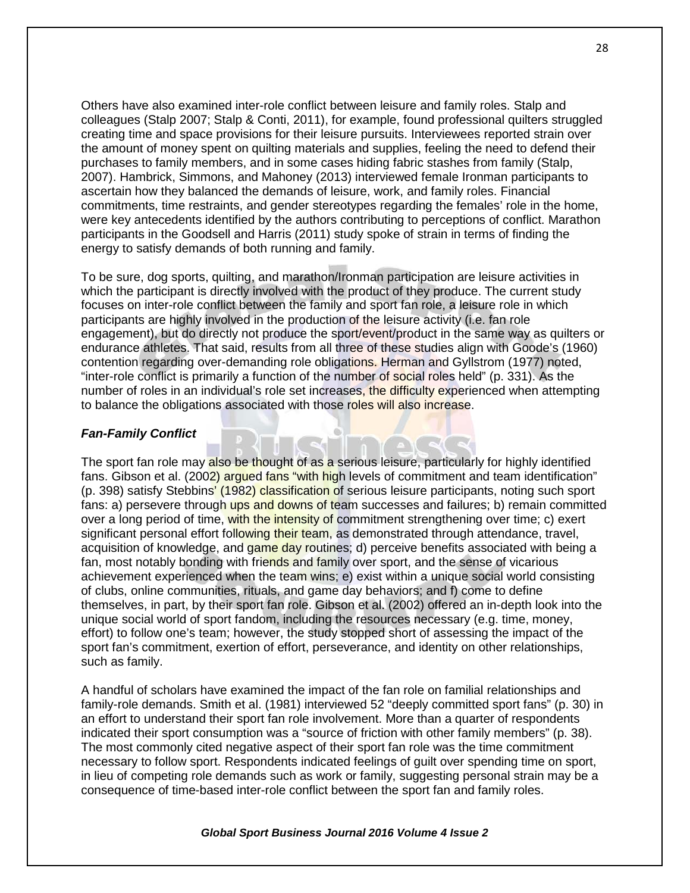Others have also examined inter-role conflict between leisure and family roles. Stalp and colleagues (Stalp 2007; Stalp & Conti, 2011), for example, found professional quilters struggled creating time and space provisions for their leisure pursuits. Interviewees reported strain over the amount of money spent on quilting materials and supplies, feeling the need to defend their purchases to family members, and in some cases hiding fabric stashes from family (Stalp, 2007). Hambrick, Simmons, and Mahoney (2013) interviewed female Ironman participants to ascertain how they balanced the demands of leisure, work, and family roles. Financial commitments, time restraints, and gender stereotypes regarding the females' role in the home, were key antecedents identified by the authors contributing to perceptions of conflict. Marathon participants in the Goodsell and Harris (2011) study spoke of strain in terms of finding the energy to satisfy demands of both running and family.

To be sure, dog sports, quilting, and marathon/Ironman participation are leisure activities in which the participant is directly involved with the product of they produce. The current study focuses on inter-role conflict between the family and sport fan role, a leisure role in which participants are highly involved in the production of the leisure activity (i.e. fan role engagement), but do directly not produce the sport/event/product in the same way as quilters or endurance athletes. That said, results from all three of these studies align with Goode's (1960) contention regarding over-demanding role obligations. Herman and Gyllstrom (1977) noted, "inter-role conflict is primarily a function of the number of social roles held" (p. 331). As the number of roles in an individual's role set increases, the difficulty experienced when attempting to balance the obligations associated with those roles will also increase.

### *Fan-Family Conflict*

The sport fan role may also be thought of as a serious leisure, particularly for highly identified fans. Gibson et al. (2002) argued fans "with high levels of commitment and team identification" (p. 398) satisfy Stebbins' (1982) classification of serious leisure participants, noting such sport fans: a) persevere through ups and downs of team successes and failures; b) remain committed over a long period of time, with the intensity of commitment strengthening over time; c) exert significant personal effort following their team, as demonstrated through attendance, travel, acquisition of knowledge, and game day routines; d) perceive benefits associated with being a fan, most notably bonding with friends and family over sport, and the sense of vicarious achievement experienced when the team wins; e) exist within a unique social world consisting of clubs, online communities, rituals, and game day behaviors; and f) come to define themselves, in part, by their sport fan role. Gibson et al. (2002) offered an in-depth look into the unique social world of sport fandom, including the resources necessary (e.g. time, money, effort) to follow one's team; however, the study stopped short of assessing the impact of the sport fan's commitment, exertion of effort, perseverance, and identity on other relationships, such as family.

A handful of scholars have examined the impact of the fan role on familial relationships and family-role demands. Smith et al. (1981) interviewed 52 "deeply committed sport fans" (p. 30) in an effort to understand their sport fan role involvement. More than a quarter of respondents indicated their sport consumption was a "source of friction with other family members" (p. 38). The most commonly cited negative aspect of their sport fan role was the time commitment necessary to follow sport. Respondents indicated feelings of guilt over spending time on sport, in lieu of competing role demands such as work or family, suggesting personal strain may be a consequence of time-based inter-role conflict between the sport fan and family roles.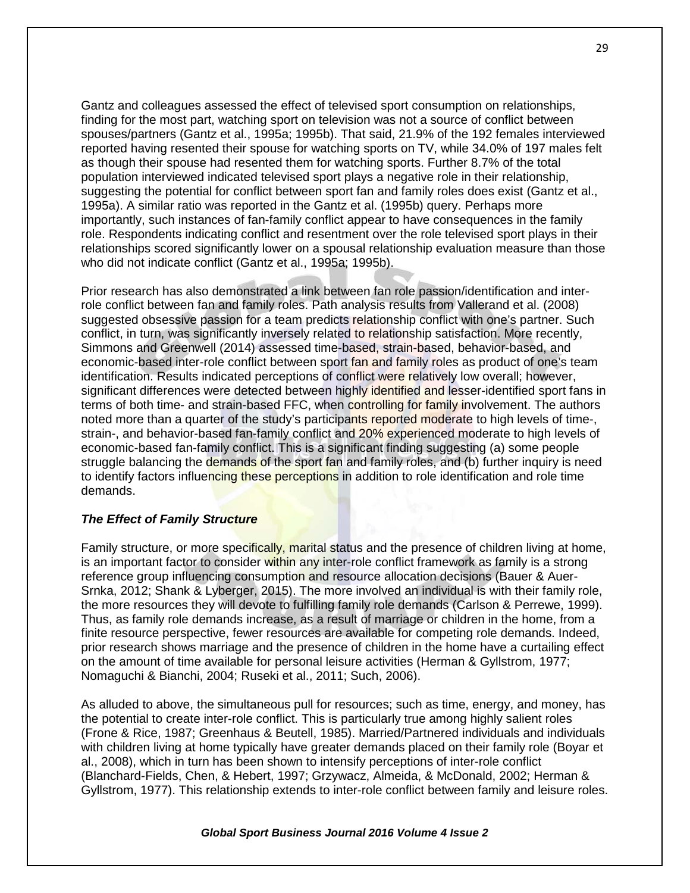Gantz and colleagues assessed the effect of televised sport consumption on relationships, finding for the most part, watching sport on television was not a source of conflict between spouses/partners (Gantz et al., 1995a; 1995b). That said, 21.9% of the 192 females interviewed reported having resented their spouse for watching sports on TV, while 34.0% of 197 males felt as though their spouse had resented them for watching sports. Further 8.7% of the total population interviewed indicated televised sport plays a negative role in their relationship, suggesting the potential for conflict between sport fan and family roles does exist (Gantz et al., 1995a). A similar ratio was reported in the Gantz et al. (1995b) query. Perhaps more importantly, such instances of fan-family conflict appear to have consequences in the family role. Respondents indicating conflict and resentment over the role televised sport plays in their relationships scored significantly lower on a spousal relationship evaluation measure than those who did not indicate conflict (Gantz et al., 1995a; 1995b).

Prior research has also demonstrated a link between fan role passion/identification and interrole conflict between fan and family roles. Path analysis results from Vallerand et al. (2008) suggested obsessive passion for a team predicts relationship conflict with one's partner. Such conflict, in turn, was significantly inversely related to relationship satisfaction. More recently, Simmons and Greenwell (2014) assessed time-based, strain-based, behavior-based, and economic-based inter-role conflict between sport fan and family roles as product of one's team identification. Results indicated perceptions of conflict were relatively low overall; however, significant differences were detected between highly identified and lesser-identified sport fans in terms of both time- and strain-based FFC, when controlling for family involvement. The authors noted more than a quarter of the study's participants reported moderate to high levels of time-, strain-, and behavior-based fan-family conflict and 20% experienced moderate to high levels of economic-based fan-family conflict. This is a significant finding suggesting (a) some people struggle balancing the demands of the sport fan and family roles, and (b) further inquiry is need to identify factors influencing these perceptions in addition to role identification and role time demands.

#### *The Effect of Family Structure*

Family structure, or more specifically, marital status and the presence of children living at home. is an important factor to consider within any inter-role conflict framework as family is a strong reference group influencing consumption and resource allocation decisions (Bauer & Auer-Srnka, 2012; Shank & Lyberger, 2015). The more involved an individual is with their family role, the more resources they will devote to fulfilling family role demands (Carlson & Perrewe, 1999). Thus, as family role demands increase, as a result of marriage or children in the home, from a finite resource perspective, fewer resources are available for competing role demands. Indeed, prior research shows marriage and the presence of children in the home have a curtailing effect on the amount of time available for personal leisure activities (Herman & Gyllstrom, 1977; Nomaguchi & Bianchi, 2004; Ruseki et al., 2011; Such, 2006).

As alluded to above, the simultaneous pull for resources; such as time, energy, and money, has the potential to create inter-role conflict. This is particularly true among highly salient roles (Frone & Rice, 1987; Greenhaus & Beutell, 1985). Married/Partnered individuals and individuals with children living at home typically have greater demands placed on their family role (Boyar et al., 2008), which in turn has been shown to intensify perceptions of inter-role conflict (Blanchard-Fields, Chen, & Hebert, 1997; Grzywacz, Almeida, & McDonald, 2002; Herman & Gyllstrom, 1977). This relationship extends to inter-role conflict between family and leisure roles.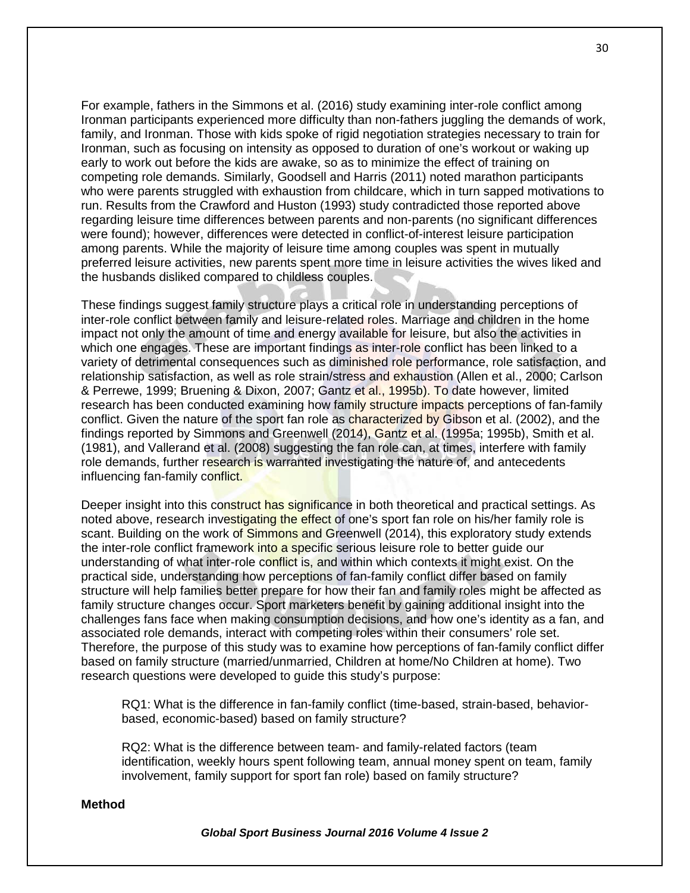For example, fathers in the Simmons et al. (2016) study examining inter-role conflict among Ironman participants experienced more difficulty than non-fathers juggling the demands of work, family, and Ironman. Those with kids spoke of rigid negotiation strategies necessary to train for Ironman, such as focusing on intensity as opposed to duration of one's workout or waking up early to work out before the kids are awake, so as to minimize the effect of training on competing role demands. Similarly, Goodsell and Harris (2011) noted marathon participants who were parents struggled with exhaustion from childcare, which in turn sapped motivations to run. Results from the Crawford and Huston (1993) study contradicted those reported above regarding leisure time differences between parents and non-parents (no significant differences were found); however, differences were detected in conflict-of-interest leisure participation among parents. While the majority of leisure time among couples was spent in mutually preferred leisure activities, new parents spent more time in leisure activities the wives liked and the husbands disliked compared to childless couples.

These findings suggest family structure plays a critical role in understanding perceptions of inter-role conflict between family and leisure-related roles. Marriage and children in the home impact not only the amount of time and energy available for leisure, but also the activities in which one engages. These are important findings as inter-role conflict has been linked to a variety of detrimental consequences such as diminished role performance, role satisfaction, and relationship satisfaction, as well as role strain/stress and exhaustion (Allen et al., 2000; Carlson & Perrewe, 1999; Bruening & Dixon, 2007; Gantz et al., 1995b). To date however, limited research has been conducted examining how family structure impacts perceptions of fan-family conflict. Given the nature of the sport fan role as characterized by Gibson et al. (2002), and the findings reported by Simmons and Greenwell (2014), Gantz et al. (1995a; 1995b), Smith et al. (1981), and Vallerand et al. (2008) suggesting the fan role can, at times, interfere with family role demands, further research is warranted investigating the nature of, and antecedents influencing fan-family conflict.

Deeper insight into this construct has significance in both theoretical and practical settings. As noted above, research investigating the effect of one's sport fan role on his/her family role is scant. Building on the work of Simmons and Greenwell (2014), this exploratory study extends the inter-role conflict framework into a specific serious leisure role to better quide our understanding of what inter-role conflict is, and within which contexts it might exist. On the practical side, understanding how perceptions of fan-family conflict differ based on family structure will help families better prepare for how their fan and family roles might be affected as family structure changes occur. Sport marketers benefit by gaining additional insight into the challenges fans face when making consumption decisions, and how one's identity as a fan, and associated role demands, interact with competing roles within their consumers' role set. Therefore, the purpose of this study was to examine how perceptions of fan-family conflict differ based on family structure (married/unmarried, Children at home/No Children at home). Two research questions were developed to guide this study's purpose:

RQ1: What is the difference in fan-family conflict (time-based, strain-based, behaviorbased, economic-based) based on family structure?

RQ2: What is the difference between team- and family-related factors (team identification, weekly hours spent following team, annual money spent on team, family involvement, family support for sport fan role) based on family structure?

#### **Method**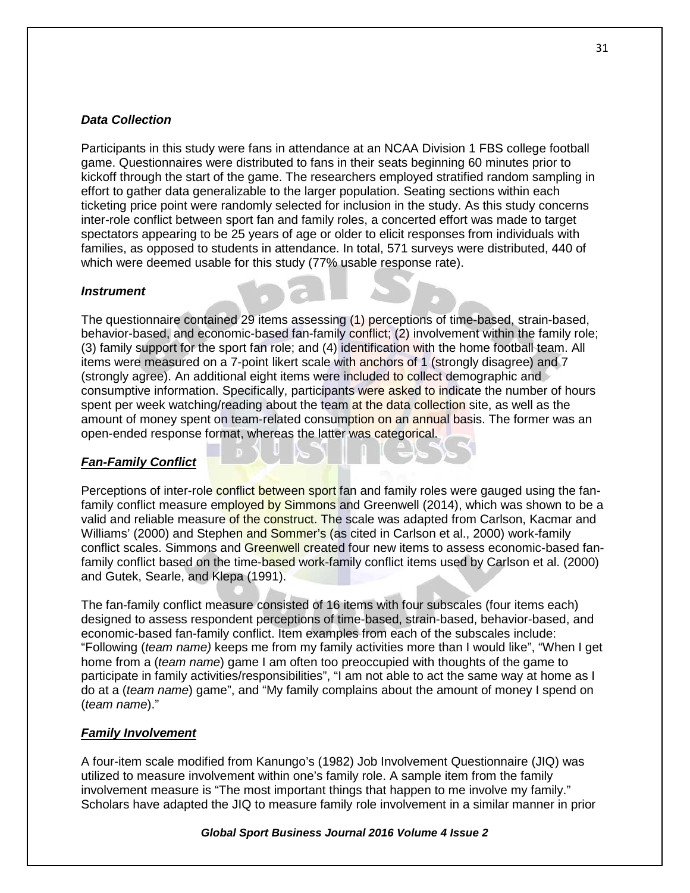## *Data Collection*

Participants in this study were fans in attendance at an NCAA Division 1 FBS college football game. Questionnaires were distributed to fans in their seats beginning 60 minutes prior to kickoff through the start of the game. The researchers employed stratified random sampling in effort to gather data generalizable to the larger population. Seating sections within each ticketing price point were randomly selected for inclusion in the study. As this study concerns inter-role conflict between sport fan and family roles, a concerted effort was made to target spectators appearing to be 25 years of age or older to elicit responses from individuals with families, as opposed to students in attendance. In total, 571 surveys were distributed, 440 of which were deemed usable for this study (77% usable response rate).

## *Instrument*

The questionnaire contained 29 items assessing (1) perceptions of time-based, strain-based, behavior-based, and economic-based fan-family conflict; (2) involvement within the family role; (3) family support for the sport fan role; and (4) identification with the home football team. All items were measured on a 7-point likert scale with anchors of 1 (strongly disagree) and 7 (strongly agree). An additional eight items were included to collect demographic and consumptive information. Specifically, participants were asked to indicate the number of hours spent per week watching/reading about the team at the data collection site, as well as the amount of money spent on team-related consumption on an annual basis. The former was an open-ended response format, whereas the latter was categorical.

## *Fan-Family Conflict*

Perceptions of inter-role conflict between sport fan and family roles were gauged using the fanfamily conflict measure employed by Simmons and Greenwell (2014), which was shown to be a valid and reliable measure of the construct. The scale was adapted from Carlson, Kacmar and Williams' (2000) and Stephen and Sommer's (as cited in Carlson et al., 2000) work-family conflict scales. Simmons and Greenwell created four new items to assess economic-based fanfamily conflict based on the time-based work-family conflict items used by Carlson et al. (2000) and Gutek, Searle, and Klepa (1991).

The fan-family conflict measure consisted of 16 items with four subscales (four items each) designed to assess respondent perceptions of time-based, strain-based, behavior-based, and economic-based fan-family conflict. Item examples from each of the subscales include: "Following (*team name)* keeps me from my family activities more than I would like", "When I get home from a (*team name*) game I am often too preoccupied with thoughts of the game to participate in family activities/responsibilities", "I am not able to act the same way at home as I do at a (*team name*) game", and "My family complains about the amount of money I spend on (*team name*)."

#### *Family Involvement*

A four-item scale modified from Kanungo's (1982) Job Involvement Questionnaire (JIQ) was utilized to measure involvement within one's family role. A sample item from the family involvement measure is "The most important things that happen to me involve my family." Scholars have adapted the JIQ to measure family role involvement in a similar manner in prior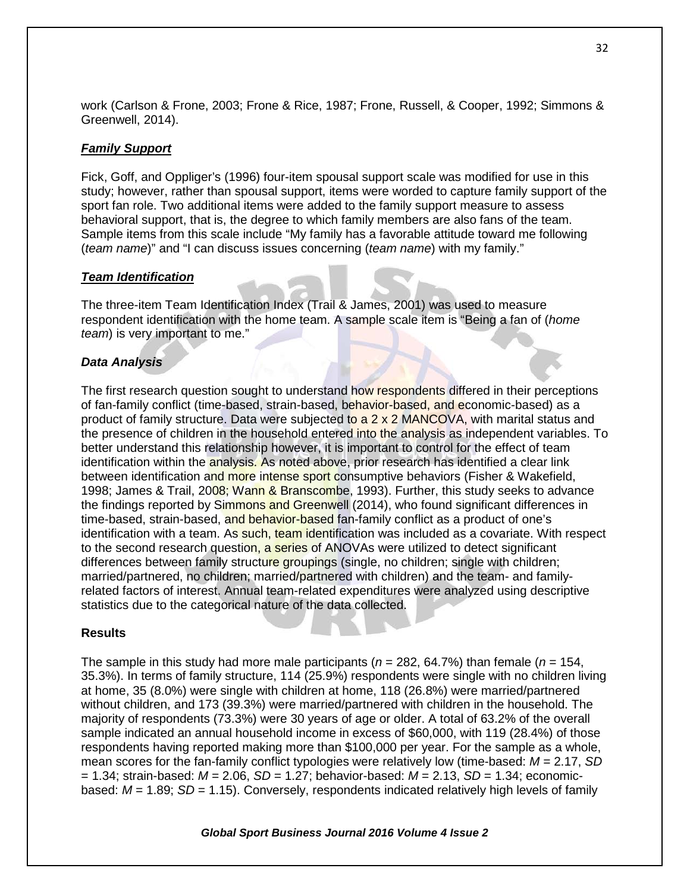work (Carlson & Frone, 2003; Frone & Rice, 1987; Frone, Russell, & Cooper, 1992; Simmons & Greenwell, 2014).

## *Family Support*

Fick, Goff, and Oppliger's (1996) four-item spousal support scale was modified for use in this study; however, rather than spousal support, items were worded to capture family support of the sport fan role. Two additional items were added to the family support measure to assess behavioral support, that is, the degree to which family members are also fans of the team. Sample items from this scale include "My family has a favorable attitude toward me following (*team name*)" and "I can discuss issues concerning (*team name*) with my family."

## *Team Identification*

The three-item Team Identification Index (Trail & James, 2001) was used to measure respondent identification with the home team. A sample scale item is "Being a fan of (*home team*) is very important to me."

## *Data Analysis*

The first research question sought to understand how respondents differed in their perceptions of fan-family conflict (time-based, strain-based, behavior-based, and economic-based) as a product of family structure. Data were subjected to  $a 2 \times 2$  MANCOVA, with marital status and the presence of children in the household entered into the analysis as independent variables. To better understand this relationship however, it is important to control for the effect of team identification within the analysis. As noted above, prior research has identified a clear link between identification and more intense sport consumptive behaviors (Fisher & Wakefield, 1998; James & Trail, 2008; Wann & Branscombe, 1993). Further, this study seeks to advance the findings reported by Simmons and Greenwell (2014), who found significant differences in time-based, strain-based, and behavior-based fan-family conflict as a product of one's identification with a team. As such, team identification was included as a covariate. With respect to the second research question, a series of ANOVAs were utilized to detect significant differences between family structure groupings (single, no children; single with children; married/partnered, no children; married/partnered with children) and the team- and familyrelated factors of interest. Annual team-related expenditures were analyzed using descriptive statistics due to the categorical nature of the data collected.

## **Results**

The sample in this study had more male participants ( $n = 282, 64.7\%$ ) than female ( $n = 154$ , 35.3%). In terms of family structure, 114 (25.9%) respondents were single with no children living at home, 35 (8.0%) were single with children at home, 118 (26.8%) were married/partnered without children, and 173 (39.3%) were married/partnered with children in the household. The majority of respondents (73.3%) were 30 years of age or older. A total of 63.2% of the overall sample indicated an annual household income in excess of \$60,000, with 119 (28.4%) of those respondents having reported making more than \$100,000 per year. For the sample as a whole, mean scores for the fan-family conflict typologies were relatively low (time-based: *M =* 2.17, *SD* = 1.34; strain-based: *M =* 2.06, *SD =* 1.27; behavior-based: *M* = 2.13, *SD* = 1.34; economicbased: *M =* 1.89; *SD* = 1.15). Conversely, respondents indicated relatively high levels of family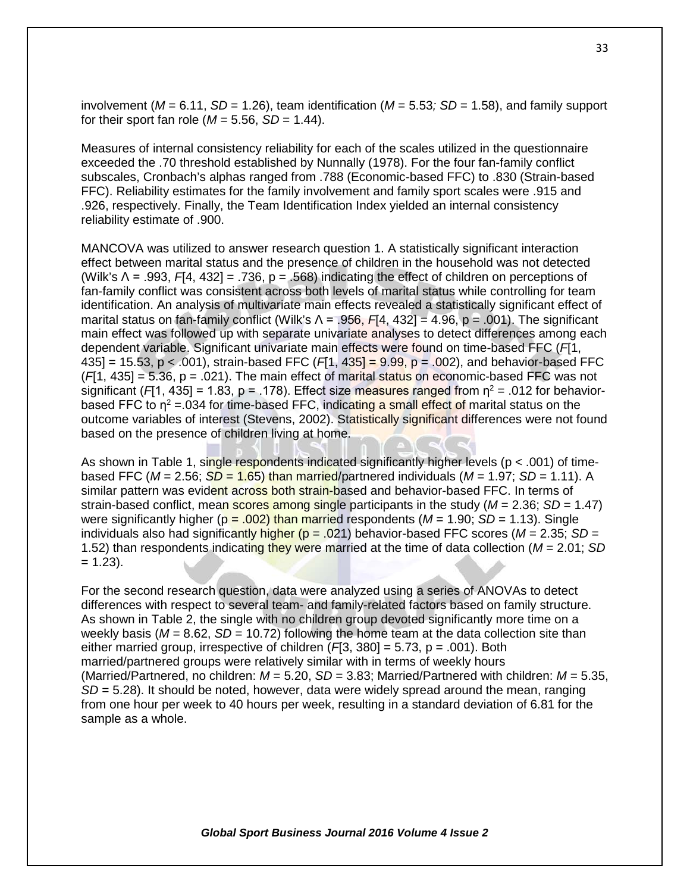involvement ( $M = 6.11$ ,  $SD = 1.26$ ), team identification ( $M = 5.53$ ;  $SD = 1.58$ ), and family support for their sport fan role ( $M = 5.56$ ,  $SD = 1.44$ ).

Measures of internal consistency reliability for each of the scales utilized in the questionnaire exceeded the .70 threshold established by Nunnally (1978). For the four fan-family conflict subscales, Cronbach's alphas ranged from .788 (Economic-based FFC) to .830 (Strain-based FFC). Reliability estimates for the family involvement and family sport scales were .915 and .926, respectively. Finally, the Team Identification Index yielded an internal consistency reliability estimate of .900.

MANCOVA was utilized to answer research question 1. A statistically significant interaction effect between marital status and the presence of children in the household was not detected (Wilk's Λ = .993, *F*[4, 432] = .736, p = .568) indicating the effect of children on perceptions of fan-family conflict was consistent across both levels of marital status while controlling for team identification. An analysis of multivariate main effects revealed a statistically significant effect of marital status on fan-family conflict (Wilk's Λ = .956, *F*[4, 432] = 4.96, p = .001). The significant main effect was followed up with separate univariate analyses to detect differences among each dependent variable. Significant univariate main effects were found on time-based FFC (*F*[1, 435] = 15.53,  $p < .001$ ), strain-based FFC ( $F1$ ,  $435$ ] = 9.99,  $p = .002$ ), and behavior-based FFC  $(F|1, 435] = 5.36$ ,  $p = .021$ ). The main effect of marital status on economic-based FFC was not significant ( $F[1, 435] = 1.83$ , p = .178). Effect size measures ranged from  $\eta^2 = .012$  for behaviorbased FFC to  $n^2$  = 034 for time-based FFC, indicating a small effect of marital status on the outcome variables of interest (Stevens, 2002). Statistically significant differences were not found based on the presence of children living at home.

As shown in Table 1, single respondents indicated significantly higher levels (p < .001) of timebased FFC ( $M = 2.56$ ;  $SD = 1.65$ ) than married/partnered individuals ( $M = 1.97$ ;  $SD = 1.11$ ). A similar pattern was evident across both strain-based and behavior-based FFC. In terms of strain-based conflict, mean scores among single participants in the study (*M* = 2.36; *SD* = 1.47) were significantly higher ( $p = .002$ ) than married respondents ( $M = 1.90$ ;  $SD = 1.13$ ). Single individuals also had significantly higher ( $p = .021$ ) behavior-based FFC scores ( $M = 2.35$ ; SD = 1.52) than respondents indicating they were married at the time of data collection (*M* = 2.01; *SD*  $= 1.23$ ).

For the second research question, data were analyzed using a series of ANOVAs to detect differences with respect to several team- and family-related factors based on family structure. As shown in Table 2, the single with no children group devoted significantly more time on a weekly basis ( $M = 8.62$ ,  $SD = 10.72$ ) following the home team at the data collection site than either married group, irrespective of children (*F*[3, 380] = 5.73, p = .001). Both married/partnered groups were relatively similar with in terms of weekly hours (Married/Partnered, no children: *M* = 5.20, *SD* = 3.83; Married/Partnered with children: *M* = 5.35, *SD* = 5.28). It should be noted, however, data were widely spread around the mean, ranging from one hour per week to 40 hours per week, resulting in a standard deviation of 6.81 for the sample as a whole.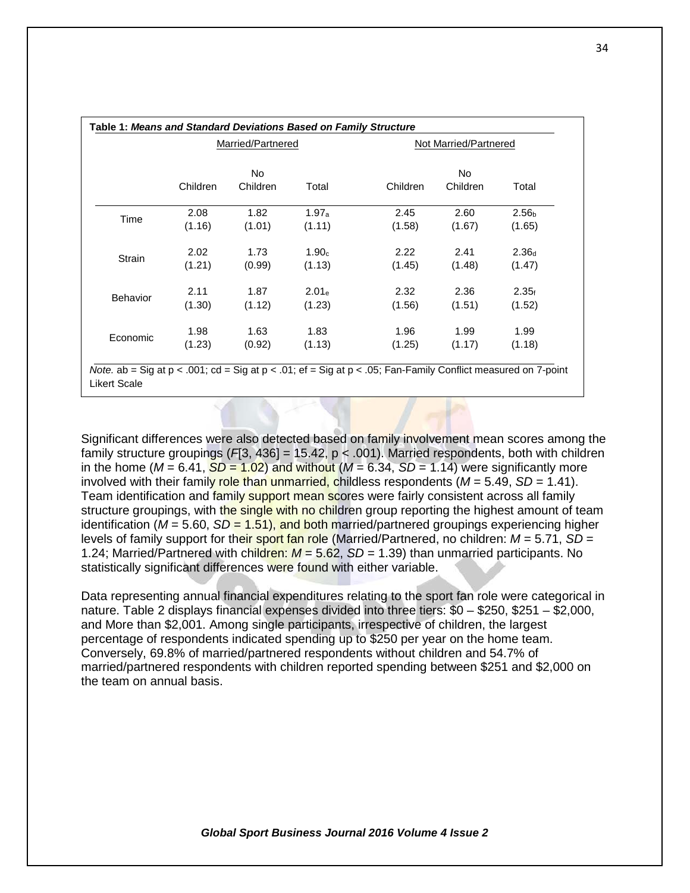|                 |          | <b>Married/Partnered</b> |                   | Not Married/Partnered |          |                   |  |
|-----------------|----------|--------------------------|-------------------|-----------------------|----------|-------------------|--|
|                 |          | No                       |                   | No.                   |          |                   |  |
|                 | Children | Children                 | Total             | Children              | Children | Total             |  |
| Time            | 2.08     | 1.82                     | $1.97_a$          | 2.45                  | 2.60     | 2.56 <sub>b</sub> |  |
|                 | (1.16)   | (1.01)                   | (1.11)            | (1.58)                | (1.67)   | (1.65)            |  |
| Strain          | 2.02     | 1.73                     | 1.90 <sub>c</sub> | 2.22                  | 2.41     | 2.36 <sub>d</sub> |  |
|                 | (1.21)   | (0.99)                   | (1.13)            | (1.45)                | (1.48)   | (1.47)            |  |
| <b>Behavior</b> | 2.11     | 1.87                     | 2.01 <sub>e</sub> | 2.32                  | 2.36     | 2.35f             |  |
|                 | (1.30)   | (1.12)                   | (1.23)            | (1.56)                | (1.51)   | (1.52)            |  |
| Economic        | 1.98     | 1.63                     | 1.83              | 1.96                  | 1.99     | 1.99              |  |
|                 | (1.23)   | (0.92)                   | (1.13)            | (1.25)                | (1.17)   | (1.18)            |  |

Likert Scale

Significant differences were also detected based on family involvement mean scores among the family structure groupings (*F*[3, 436] = 15.42, p < .001). Married respondents, both with children in the home ( $M = 6.41$ ,  $SD = 1.02$ ) and without ( $M = 6.34$ ,  $SD = 1.14$ ) were significantly more involved with their family role than unmarried, childless respondents  $(M = 5.49, SD = 1.41)$ . Team identification and family support mean scores were fairly consistent across all family structure groupings, with the single with no children group reporting the highest amount of team identification ( $M = 5.60$ ,  $SD = 1.51$ ), and both married/partnered groupings experiencing higher levels of family support for their sport fan role (Married/Partnered, no children: *M* = 5.71, *SD* = 1.24; Married/Partnered with children: *M* = 5.62, *SD* = 1.39) than unmarried participants. No statistically significant differences were found with either variable.

Data representing annual financial expenditures relating to the sport fan role were categorical in nature. Table 2 displays financial expenses divided into three tiers: \$0 – \$250, \$251 – \$2,000, and More than \$2,001. Among single participants, irrespective of children, the largest percentage of respondents indicated spending up to \$250 per year on the home team. Conversely, 69.8% of married/partnered respondents without children and 54.7% of married/partnered respondents with children reported spending between \$251 and \$2,000 on the team on annual basis.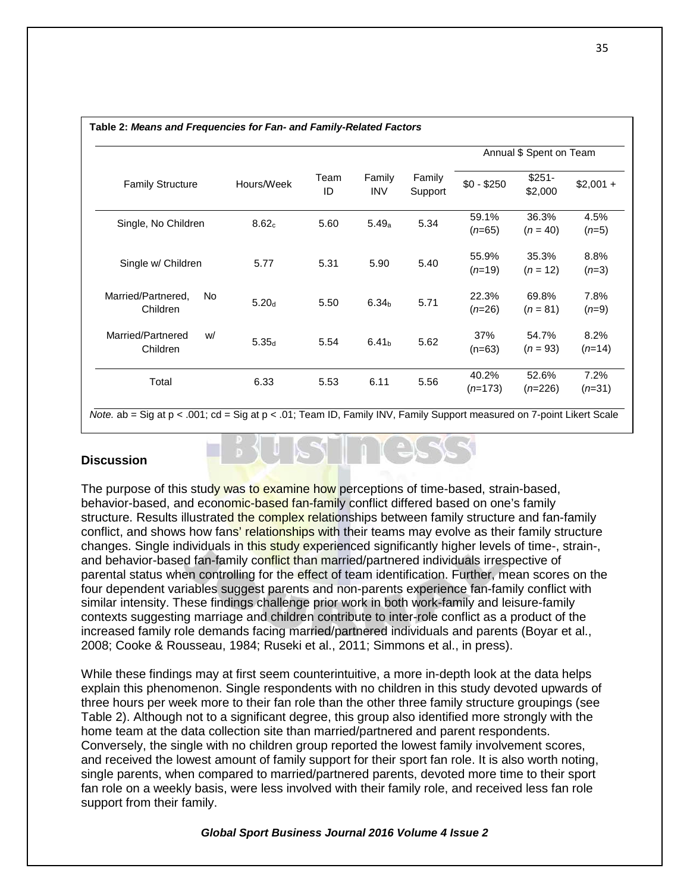|                           | Hours/Week        | Team<br>ID | Family<br><b>INV</b> | Family<br>Support | Annual \$ Spent on Team |                    |            |
|---------------------------|-------------------|------------|----------------------|-------------------|-------------------------|--------------------|------------|
| <b>Family Structure</b>   |                   |            |                      |                   | $$0 - $250$             | $$251-$<br>\$2,000 | $$2,001 +$ |
|                           | 8.62c             | 5.60       | 5.49a                | 5.34              | 59.1%                   | 36.3%              | 4.5%       |
| Single, No Children       |                   |            |                      |                   | $(n=65)$                | $(n = 40)$         | $(n=5)$    |
|                           | 5.77              | 5.31       | 5.90                 | 5.40              | 55.9%                   | 35.3%              | 8.8%       |
| Single w/ Children        |                   |            |                      |                   | $(n=19)$                | $(n = 12)$         | $(n=3)$    |
| Married/Partnered.<br>No. |                   |            | 6.34 <sub>b</sub>    | 5.71              | 22.3%                   | 69.8%              | 7.8%       |
| Children                  | 5.20 <sub>d</sub> | 5.50       |                      |                   | $(n=26)$                | $(n = 81)$         | $(n=9)$    |
| Married/Partnered<br>w/   | 5.35 <sub>d</sub> | 5.54       | 6.41 <sub>b</sub>    | 5.62              | 37%                     | 54.7%              | 8.2%       |
| Children                  |                   |            |                      |                   | $(n=63)$                | $(n = 93)$         | $(n=14)$   |
|                           |                   |            |                      |                   | 40.2%                   | 52.6%              | 7.2%       |
| Total                     | 6.33              | 5.53       | 6.11                 | 5.56              | $(n=173)$               | $(n=226)$          | $(n=31)$   |

#### **Table 2:** *Means and Frequencies for Fan- and Family-Related Factors*

*Note.* ab = Sig at p < .001; cd = Sig at p < .01; Team ID, Family INV, Family Support measured on 7-point Likert Scale

## **Discussion**

The purpose of this study was to examine how perceptions of time-based, strain-based, behavior-based, and economic-based fan-family conflict differed based on one's family structure. Results illustrated the complex relationships between family structure and fan-family conflict, and shows how fans' relationships with their teams may evolve as their family structure changes. Single individuals in this study experienced significantly higher levels of time-, strain-, and behavior-based fan-family conflict than married/partnered individuals irrespective of parental status when controlling for the effect of team identification. Further, mean scores on the four dependent variables suggest parents and non-parents experience fan-family conflict with similar intensity. These findings challenge prior work in both work-family and leisure-family contexts suggesting marriage and children contribute to inter-role conflict as a product of the increased family role demands facing married/partnered individuals and parents (Boyar et al., 2008; Cooke & Rousseau, 1984; Ruseki et al., 2011; Simmons et al., in press).

While these findings may at first seem counterintuitive, a more in-depth look at the data helps explain this phenomenon. Single respondents with no children in this study devoted upwards of three hours per week more to their fan role than the other three family structure groupings (see Table 2). Although not to a significant degree, this group also identified more strongly with the home team at the data collection site than married/partnered and parent respondents. Conversely, the single with no children group reported the lowest family involvement scores, and received the lowest amount of family support for their sport fan role. It is also worth noting, single parents, when compared to married/partnered parents, devoted more time to their sport fan role on a weekly basis, were less involved with their family role, and received less fan role support from their family.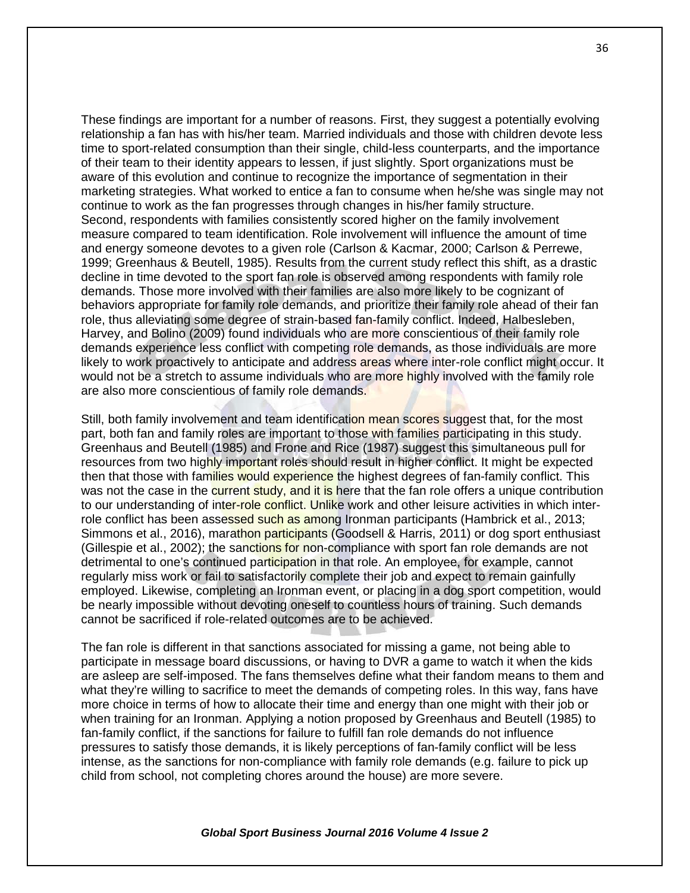These findings are important for a number of reasons. First, they suggest a potentially evolving relationship a fan has with his/her team. Married individuals and those with children devote less time to sport-related consumption than their single, child-less counterparts, and the importance of their team to their identity appears to lessen, if just slightly. Sport organizations must be aware of this evolution and continue to recognize the importance of segmentation in their marketing strategies. What worked to entice a fan to consume when he/she was single may not continue to work as the fan progresses through changes in his/her family structure. Second, respondents with families consistently scored higher on the family involvement measure compared to team identification. Role involvement will influence the amount of time and energy someone devotes to a given role (Carlson & Kacmar, 2000; Carlson & Perrewe, 1999; Greenhaus & Beutell, 1985). Results from the current study reflect this shift, as a drastic decline in time devoted to the sport fan role is observed among respondents with family role demands. Those more involved with their families are also more likely to be cognizant of behaviors appropriate for family role demands, and prioritize their family role ahead of their fan role, thus alleviating some degree of strain-based fan-family conflict. Indeed, Halbesleben, Harvey, and Bolino (2009) found individuals who are more conscientious of their family role demands experience less conflict with competing role demands, as those individuals are more likely to work proactively to anticipate and address areas where inter-role conflict might occur. It would not be a stretch to assume individuals who are more highly involved with the family role are also more conscientious of family role demands.

Still, both family involvement and team identification mean scores suggest that, for the most part, both fan and family roles are important to those with families participating in this study. Greenhaus and Beutell (1985) and Frone and Rice (1987) suggest this simultaneous pull for resources from two highly important roles should result in higher conflict. It might be expected then that those with families would experience the highest degrees of fan-family conflict. This was not the case in the current study, and it is here that the fan role offers a unique contribution to our understanding of inter-role conflict. Unlike work and other leisure activities in which interrole conflict has been assessed such as among Ironman participants (Hambrick et al., 2013; Simmons et al., 2016), marathon participants (Goodsell & Harris, 2011) or dog sport enthusiast (Gillespie et al., 2002); the sanctions for non-compliance with sport fan role demands are not detrimental to one's continued participation in that role. An employee, for example, cannot regularly miss work or fail to satisfactorily complete their job and expect to remain gainfully employed. Likewise, completing an Ironman event, or placing in a dog sport competition, would be nearly impossible without devoting oneself to countless hours of training. Such demands cannot be sacrificed if role-related outcomes are to be achieved.

The fan role is different in that sanctions associated for missing a game, not being able to participate in message board discussions, or having to DVR a game to watch it when the kids are asleep are self-imposed. The fans themselves define what their fandom means to them and what they're willing to sacrifice to meet the demands of competing roles. In this way, fans have more choice in terms of how to allocate their time and energy than one might with their job or when training for an Ironman. Applying a notion proposed by Greenhaus and Beutell (1985) to fan-family conflict, if the sanctions for failure to fulfill fan role demands do not influence pressures to satisfy those demands, it is likely perceptions of fan-family conflict will be less intense, as the sanctions for non-compliance with family role demands (e.g. failure to pick up child from school, not completing chores around the house) are more severe.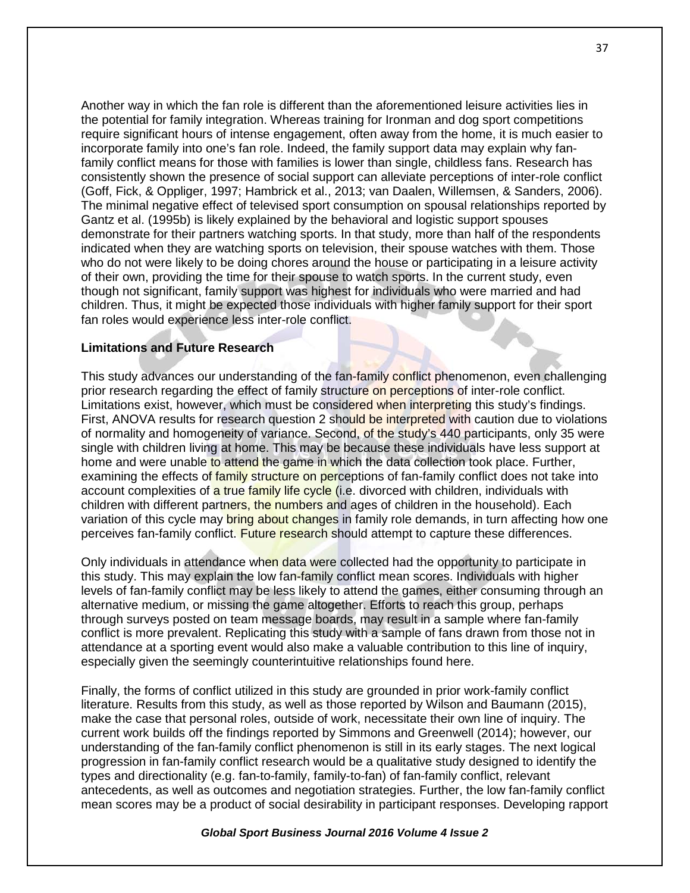Another way in which the fan role is different than the aforementioned leisure activities lies in the potential for family integration. Whereas training for Ironman and dog sport competitions require significant hours of intense engagement, often away from the home, it is much easier to incorporate family into one's fan role. Indeed, the family support data may explain why fanfamily conflict means for those with families is lower than single, childless fans. Research has consistently shown the presence of social support can alleviate perceptions of inter-role conflict (Goff, Fick, & Oppliger, 1997; Hambrick et al., 2013; van Daalen, Willemsen, & Sanders, 2006). The minimal negative effect of televised sport consumption on spousal relationships reported by Gantz et al. (1995b) is likely explained by the behavioral and logistic support spouses demonstrate for their partners watching sports. In that study, more than half of the respondents indicated when they are watching sports on television, their spouse watches with them. Those who do not were likely to be doing chores around the house or participating in a leisure activity of their own, providing the time for their spouse to watch sports. In the current study, even though not significant, family support was highest for individuals who were married and had children. Thus, it might be expected those individuals with higher family support for their sport fan roles would experience less inter-role conflict.

# **Limitations and Future Research**

This study advances our understanding of the fan-family conflict phenomenon, even challenging prior research regarding the effect of family structure on perceptions of inter-role conflict. Limitations exist, however, which must be considered when interpreting this study's findings. First, ANOVA results for research question 2 should be interpreted with caution due to violations of normality and homogeneity of variance. Second, of the study's 440 participants, only 35 were single with children living at home. This may be because these individuals have less support at home and were unable to attend the game in which the data collection took place. Further, examining the effects of family structure on perceptions of fan-family conflict does not take into account complexities of a true family life cycle (i.e. divorced with children, individuals with children with different partners, the numbers and ages of children in the household). Each variation of this cycle may bring about changes in family role demands, in turn affecting how one perceives fan-family conflict. Future research should attempt to capture these differences.

Only individuals in attendance when data were collected had the opportunity to participate in this study. This may explain the low fan-family conflict mean scores. Individuals with higher levels of fan-family conflict may be less likely to attend the games, either consuming through an alternative medium, or missing the game altogether. Efforts to reach this group, perhaps through surveys posted on team message boards, may result in a sample where fan-family conflict is more prevalent. Replicating this study with a sample of fans drawn from those not in attendance at a sporting event would also make a valuable contribution to this line of inquiry, especially given the seemingly counterintuitive relationships found here.

Finally, the forms of conflict utilized in this study are grounded in prior work-family conflict literature. Results from this study, as well as those reported by Wilson and Baumann (2015), make the case that personal roles, outside of work, necessitate their own line of inquiry. The current work builds off the findings reported by Simmons and Greenwell (2014); however, our understanding of the fan-family conflict phenomenon is still in its early stages. The next logical progression in fan-family conflict research would be a qualitative study designed to identify the types and directionality (e.g. fan-to-family, family-to-fan) of fan-family conflict, relevant antecedents, as well as outcomes and negotiation strategies. Further, the low fan-family conflict mean scores may be a product of social desirability in participant responses. Developing rapport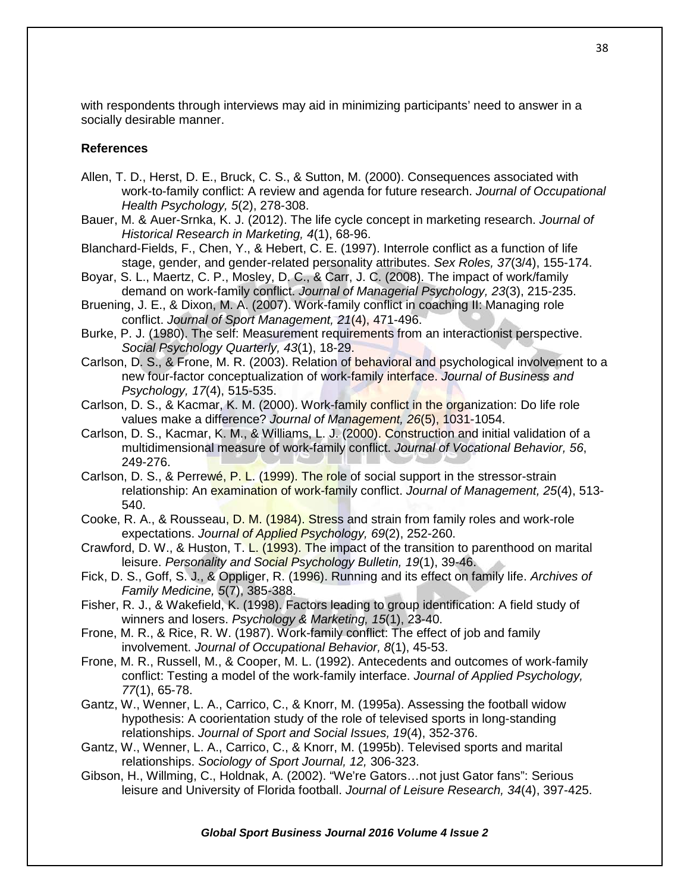with respondents through interviews may aid in minimizing participants' need to answer in a socially desirable manner.

## **References**

- Allen, T. D., Herst, D. E., Bruck, C. S., & Sutton, M. (2000). Consequences associated with work-to-family conflict: A review and agenda for future research. *Journal of Occupational Health Psychology, 5*(2), 278-308.
- Bauer, M. & Auer-Srnka, K. J. (2012). The life cycle concept in marketing research. *Journal of Historical Research in Marketing, 4*(1), 68-96.
- Blanchard-Fields, F., Chen, Y., & Hebert, C. E. (1997). Interrole conflict as a function of life stage, gender, and gender-related personality attributes. *Sex Roles, 37*(3/4), 155-174.
- Boyar, S. L., Maertz, C. P., Mosley, D. C., & Carr, J. C. (2008). The impact of work/family demand on work-family conflict. *Journal of Managerial Psychology, 23*(3), 215-235.
- Bruening, J. E., & Dixon, M. A. (2007). Work-family conflict in coaching II: Managing role conflict. *Journal of Sport Management, 21*(4), 471-496.
- Burke, P. J. (1980). The self: Measurement requirements from an interactionist perspective. *Social Psychology Quarterly, 43*(1), 18-29.
- Carlson, D. S., & Frone, M. R. (2003). Relation of behavioral and psychological involvement to a new four-factor conceptualization of work-family interface. *Journal of Business and Psychology, 17*(4), 515-535.
- Carlson, D. S., & Kacmar, K. M. (2000). Work-family conflict in the organization: Do life role values make a difference? *Journal of Management, 26*(5), 1031-1054.
- Carlson, D. S., Kacmar, K. M., & Williams, L. J. (2000). Construction and initial validation of a multidimensional measure of work-family conflict. *Journal of Vocational Behavior, 56*, 249-276.
- Carlson, D. S., & Perrewé, P. L. (1999). The role of social support in the stressor-strain relationship: An examination of work-family conflict. *Journal of Management, 25*(4), 513- 540.
- Cooke, R. A., & Rousseau, D. M. (1984). Stress and strain from family roles and work-role expectations. *Journal of Applied Psychology, 69*(2), 252-260.
- Crawford, D. W., & Huston, T. L. (1993). The impact of the transition to parenthood on marital leisure. *Personality and Social Psychology Bulletin, 19*(1), 39-46.
- Fick, D. S., Goff, S. J., & Oppliger, R. (1996). Running and its effect on family life. *Archives of Family Medicine, 5*(7), 385-388.
- Fisher, R. J., & Wakefield, K. (1998). Factors leading to group identification: A field study of winners and losers. *Psychology & Marketing, 15*(1), 23-40.
- Frone, M. R., & Rice, R. W. (1987). Work-family conflict: The effect of job and family involvement. *Journal of Occupational Behavior, 8*(1), 45-53.
- Frone, M. R., Russell, M., & Cooper, M. L. (1992). Antecedents and outcomes of work-family conflict: Testing a model of the work-family interface. *Journal of Applied Psychology, 77*(1), 65-78.
- Gantz, W., Wenner, L. A., Carrico, C., & Knorr, M. (1995a). Assessing the football widow hypothesis: A coorientation study of the role of televised sports in long-standing relationships. *Journal of Sport and Social Issues, 19*(4), 352-376.
- Gantz, W., Wenner, L. A., Carrico, C., & Knorr, M. (1995b). Televised sports and marital relationships. *Sociology of Sport Journal, 12,* 306-323.
- Gibson, H., Willming, C., Holdnak, A. (2002). "We're Gators…not just Gator fans": Serious leisure and University of Florida football. *Journal of Leisure Research, 34*(4), 397-425.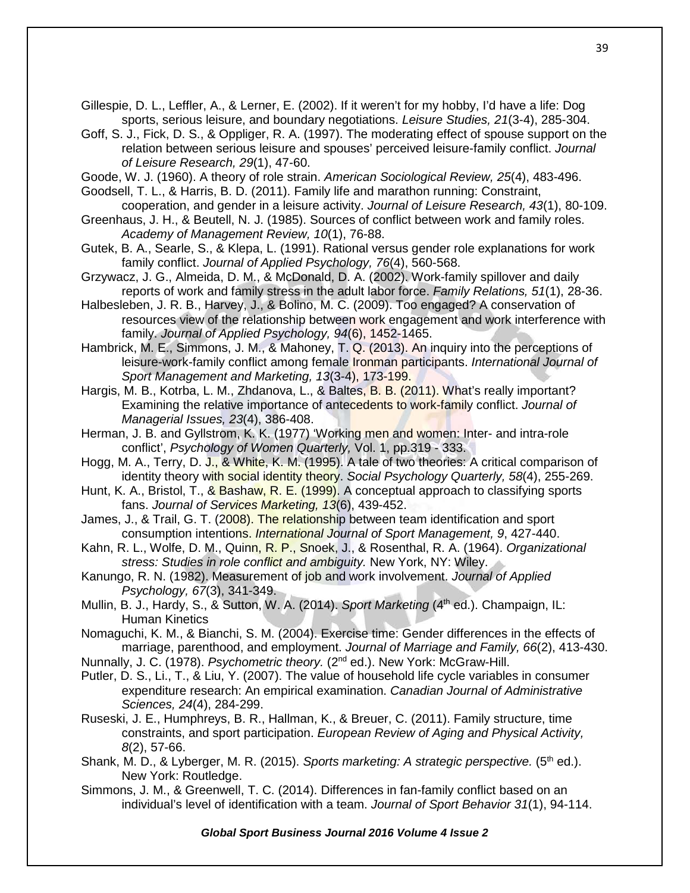Gillespie, D. L., Leffler, A., & Lerner, E. (2002). If it weren't for my hobby, I'd have a life: Dog sports, serious leisure, and boundary negotiations. *Leisure Studies, 21*(3-4), 285-304.

Goff, S. J., Fick, D. S., & Oppliger, R. A. (1997). The moderating effect of spouse support on the relation between serious leisure and spouses' perceived leisure-family conflict. *Journal of Leisure Research, 29*(1), 47-60.

Goode, W. J. (1960). A theory of role strain. *American Sociological Review, 25*(4), 483-496.

Goodsell, T. L., & Harris, B. D. (2011). Family life and marathon running: Constraint, cooperation, and gender in a leisure activity. *Journal of Leisure Research, 43*(1), 80-109.

- Greenhaus, J. H., & Beutell, N. J. (1985). Sources of conflict between work and family roles. *Academy of Management Review, 10*(1), 76-88.
- Gutek, B. A., Searle, S., & Klepa, L. (1991). Rational versus gender role explanations for work family conflict. *Journal of Applied Psychology, 76*(4), 560-568.
- Grzywacz, J. G., Almeida, D. M., & McDonald, D. A. (2002). Work-family spillover and daily reports of work and family stress in the adult labor force. *Family Relations, 51*(1), 28-36.
- Halbesleben, J. R. B., Harvey, J., & Bolino, M. C. (2009). Too engaged? A conservation of resources view of the relationship between work engagement and work interference with family. *Journal of Applied Psychology, 94*(6), 1452-1465.
- Hambrick, M. E., Simmons, J. M., & Mahoney, T. Q. (2013). An inquiry into the perceptions of leisure-work-family conflict among female Ironman participants. *International Journal of Sport Management and Marketing, 13*(3-4), 173-199.

Hargis, M. B., Kotrba, L. M., Zhdanova, L., & Baltes, B. B. (2011). What's really important? Examining the relative importance of antecedents to work-family conflict. *Journal of Managerial Issues, 23*(4), 386-408.

- Herman, J. B. and Gyllstrom, K. K. (1977) 'Working men and women: Inter- and intra-role conflict', *Psychology of Women Quarterly,* Vol. 1, pp.319 - 333.
- Hogg, M. A., Terry, D. J., & White, K. M. (1995). A tale of two theories: A critical comparison of identity theory with social identity theory. *Social Psychology Quarterly, 58*(4), 255-269.
- Hunt, K. A., Bristol, T., & Bashaw, R. E. (1999). A conceptual approach to classifying sports fans. *Journal of Services Marketing, 13*(6), 439-452.
- James, J., & Trail, G. T. (2008). The relationship between team identification and sport consumption intentions. *International Journal of Sport Management, 9*, 427-440.
- Kahn, R. L., Wolfe, D. M., Quinn, R. P., Snoek, J., & Rosenthal, R. A. (1964). *Organizational stress: Studies in role conflict and ambiguity.* New York, NY: Wiley.
- Kanungo, R. N. (1982). Measurement of job and work involvement. *Journal of Applied Psychology, 67*(3), 341-349.
- Mullin, B. J., Hardy, S., & Sutton, W. A. (2014). *Sport Marketing* (4<sup>th</sup> ed.). Champaign, IL: Human Kinetics
- Nomaguchi, K. M., & Bianchi, S. M. (2004). Exercise time: Gender differences in the effects of marriage, parenthood, and employment. *Journal of Marriage and Family, 66*(2), 413-430.

Nunnally, J. C. (1978). *Psychometric theory.* (2<sup>nd</sup> ed.). New York: McGraw-Hill.

- Putler, D. S., Li., T., & Liu, Y. (2007). The value of household life cycle variables in consumer expenditure research: An empirical examination. *Canadian Journal of Administrative Sciences, 24*(4), 284-299.
- Ruseski, J. E., Humphreys, B. R., Hallman, K., & Breuer, C. (2011). Family structure, time constraints, and sport participation. *European Review of Aging and Physical Activity, 8*(2), 57-66.
- Shank, M. D., & Lyberger, M. R. (2015). *Sports marketing: A strategic perspective.* (5<sup>th</sup> ed.). New York: Routledge.
- Simmons, J. M., & Greenwell, T. C. (2014). Differences in fan-family conflict based on an individual's level of identification with a team. *Journal of Sport Behavior 31*(1), 94-114.